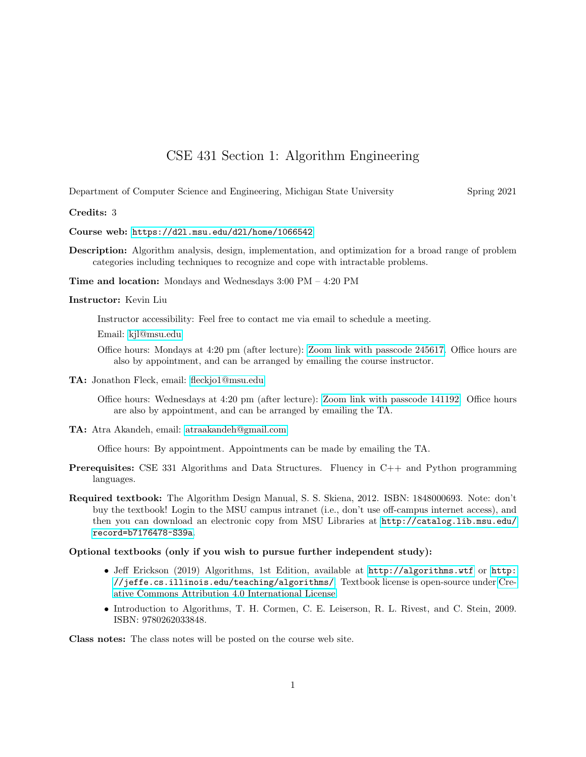# CSE 431 Section 1: Algorithm Engineering

Department of Computer Science and Engineering, Michigan State University Spring 2021

#### Credits: 3

Course web: <https://d2l.msu.edu/d2l/home/1066542>

Description: Algorithm analysis, design, implementation, and optimization for a broad range of problem categories including techniques to recognize and cope with intractable problems.

Time and location: Mondays and Wednesdays 3:00 PM – 4:20 PM

### Instructor: Kevin Liu

Instructor accessibility: Feel free to contact me via email to schedule a meeting.

Email: [kjl@msu.edu](mailto:kjl@msu.edu)

Office hours: Mondays at 4:20 pm (after lecture): [Zoom link with passcode 245617.](https://msu.zoom.us/j/96859632451) Office hours are also by appointment, and can be arranged by emailing the course instructor.

TA: Jonathon Fleck, email: [fleckjo1@msu.edu](mailto:fleckjo1@msu.edu)

Office hours: Wednesdays at 4:20 pm (after lecture): [Zoom link with passcode 141192.](https://msu.zoom.us/j/98843961870) Office hours are also by appointment, and can be arranged by emailing the TA.

TA: Atra Akandeh, email: [atraakandeh@gmail.com](mailto:atraakandeh@gmail.com)

Office hours: By appointment. Appointments can be made by emailing the TA.

- Prerequisites: CSE 331 Algorithms and Data Structures. Fluency in C++ and Python programming languages.
- Required textbook: The Algorithm Design Manual, S. S. Skiena, 2012. ISBN: 1848000693. Note: don't buy the textbook! Login to the MSU campus intranet (i.e., don't use off-campus internet access), and then you can download an electronic copy from MSU Libraries at [http://catalog.lib.msu.edu/](http://catalog.lib.msu.edu/record=b7176478~S39a) [record=b7176478~S39a](http://catalog.lib.msu.edu/record=b7176478~S39a).

## Optional textbooks (only if you wish to pursue further independent study):

- Jeff Erickson (2019) Algorithms, 1st Edition, available at <http://algorithms.wtf> or [http:](http://jeffe.cs.illinois.edu/teaching/algorithms/) [//jeffe.cs.illinois.edu/teaching/algorithms/](http://jeffe.cs.illinois.edu/teaching/algorithms/). Textbook license is open-source under [Cre](http://creativecommons.org/licenses/by/4.0/)[ative Commons Attribution 4.0 International License.](http://creativecommons.org/licenses/by/4.0/)
- Introduction to Algorithms, T. H. Cormen, C. E. Leiserson, R. L. Rivest, and C. Stein, 2009. ISBN: 9780262033848.

Class notes: The class notes will be posted on the course web site.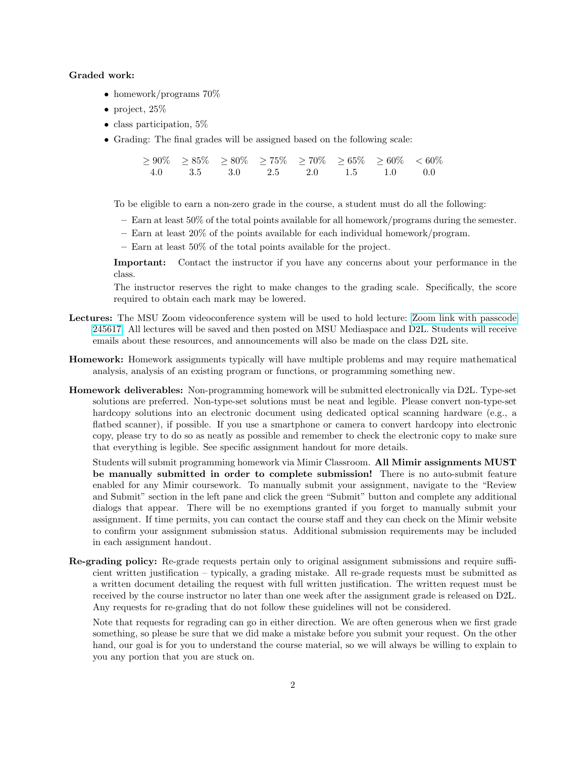#### Graded work:

- homework/programs  $70\%$
- project, 25%
- class participation, 5%
- Grading: The final grades will be assigned based on the following scale:

 $\ge 90\%$   $\ge 85\%$   $\ge 80\%$   $\ge 75\%$   $\ge 70\%$   $\ge 65\%$   $\ge 60\%$   $\lt 60\%$ 4.0 3.5 3.0 2.5 2.0 1.5 1.0 0.0

To be eligible to earn a non-zero grade in the course, a student must do all the following:

- Earn at least 50% of the total points available for all homework/programs during the semester.
- Earn at least 20% of the points available for each individual homework/program.
- Earn at least 50% of the total points available for the project.

Important: Contact the instructor if you have any concerns about your performance in the class.

The instructor reserves the right to make changes to the grading scale. Specifically, the score required to obtain each mark may be lowered.

- Lectures: The MSU Zoom videoconference system will be used to hold lecture: [Zoom link with passcode](https://msu.zoom.us/j/96859632451) [245617.](https://msu.zoom.us/j/96859632451) All lectures will be saved and then posted on MSU Mediaspace and D2L. Students will receive emails about these resources, and announcements will also be made on the class D2L site.
- Homework: Homework assignments typically will have multiple problems and may require mathematical analysis, analysis of an existing program or functions, or programming something new.
- Homework deliverables: Non-programming homework will be submitted electronically via D2L. Type-set solutions are preferred. Non-type-set solutions must be neat and legible. Please convert non-type-set hardcopy solutions into an electronic document using dedicated optical scanning hardware (e.g., a flatbed scanner), if possible. If you use a smartphone or camera to convert hardcopy into electronic copy, please try to do so as neatly as possible and remember to check the electronic copy to make sure that everything is legible. See specific assignment handout for more details.

Students will submit programming homework via Mimir Classroom. All Mimir assignments MUST be manually submitted in order to complete submission! There is no auto-submit feature enabled for any Mimir coursework. To manually submit your assignment, navigate to the "Review and Submit" section in the left pane and click the green "Submit" button and complete any additional dialogs that appear. There will be no exemptions granted if you forget to manually submit your assignment. If time permits, you can contact the course staff and they can check on the Mimir website to confirm your assignment submission status. Additional submission requirements may be included in each assignment handout.

Re-grading policy: Re-grade requests pertain only to original assignment submissions and require sufficient written justification – typically, a grading mistake. All re-grade requests must be submitted as a written document detailing the request with full written justification. The written request must be received by the course instructor no later than one week after the assignment grade is released on D2L. Any requests for re-grading that do not follow these guidelines will not be considered.

Note that requests for regrading can go in either direction. We are often generous when we first grade something, so please be sure that we did make a mistake before you submit your request. On the other hand, our goal is for you to understand the course material, so we will always be willing to explain to you any portion that you are stuck on.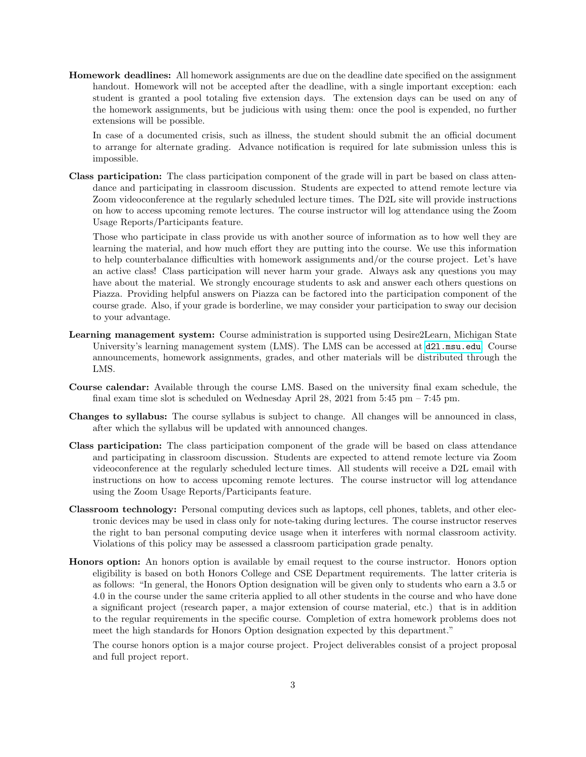Homework deadlines: All homework assignments are due on the deadline date specified on the assignment handout. Homework will not be accepted after the deadline, with a single important exception: each student is granted a pool totaling five extension days. The extension days can be used on any of the homework assignments, but be judicious with using them: once the pool is expended, no further extensions will be possible.

In case of a documented crisis, such as illness, the student should submit the an official document to arrange for alternate grading. Advance notification is required for late submission unless this is impossible.

Class participation: The class participation component of the grade will in part be based on class attendance and participating in classroom discussion. Students are expected to attend remote lecture via Zoom videoconference at the regularly scheduled lecture times. The D2L site will provide instructions on how to access upcoming remote lectures. The course instructor will log attendance using the Zoom Usage Reports/Participants feature.

Those who participate in class provide us with another source of information as to how well they are learning the material, and how much effort they are putting into the course. We use this information to help counterbalance difficulties with homework assignments and/or the course project. Let's have an active class! Class participation will never harm your grade. Always ask any questions you may have about the material. We strongly encourage students to ask and answer each others questions on Piazza. Providing helpful answers on Piazza can be factored into the participation component of the course grade. Also, if your grade is borderline, we may consider your participation to sway our decision to your advantage.

- Learning management system: Course administration is supported using Desire2Learn, Michigan State University's learning management system (LMS). The LMS can be accessed at  $d21$  msu.edu. Course announcements, homework assignments, grades, and other materials will be distributed through the LMS.
- Course calendar: Available through the course LMS. Based on the university final exam schedule, the final exam time slot is scheduled on Wednesday April 28, 2021 from  $5:45$  pm –  $7:45$  pm.
- Changes to syllabus: The course syllabus is subject to change. All changes will be announced in class, after which the syllabus will be updated with announced changes.
- Class participation: The class participation component of the grade will be based on class attendance and participating in classroom discussion. Students are expected to attend remote lecture via Zoom videoconference at the regularly scheduled lecture times. All students will receive a D2L email with instructions on how to access upcoming remote lectures. The course instructor will log attendance using the Zoom Usage Reports/Participants feature.
- Classroom technology: Personal computing devices such as laptops, cell phones, tablets, and other electronic devices may be used in class only for note-taking during lectures. The course instructor reserves the right to ban personal computing device usage when it interferes with normal classroom activity. Violations of this policy may be assessed a classroom participation grade penalty.
- Honors option: An honors option is available by email request to the course instructor. Honors option eligibility is based on both Honors College and CSE Department requirements. The latter criteria is as follows: "In general, the Honors Option designation will be given only to students who earn a 3.5 or 4.0 in the course under the same criteria applied to all other students in the course and who have done a significant project (research paper, a major extension of course material, etc.) that is in addition to the regular requirements in the specific course. Completion of extra homework problems does not meet the high standards for Honors Option designation expected by this department."

The course honors option is a major course project. Project deliverables consist of a project proposal and full project report.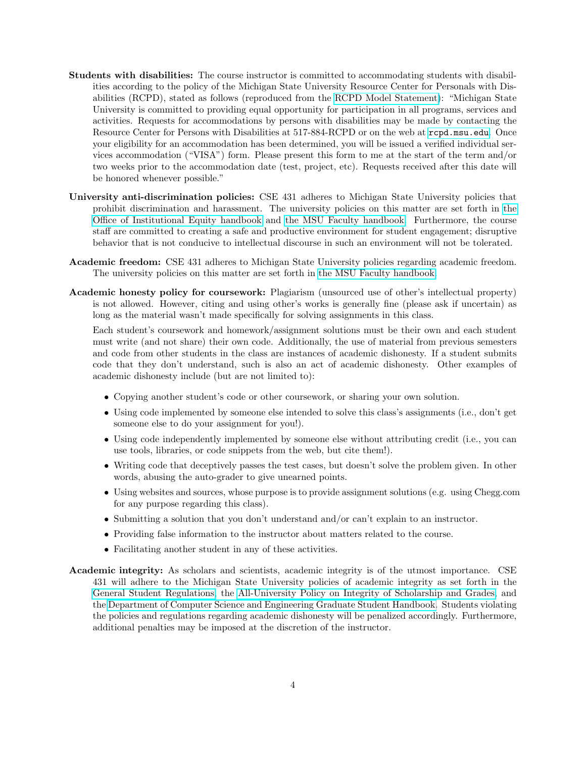- Students with disabilities: The course instructor is committed to accommodating students with disabilities according to the policy of the Michigan State University Resource Center for Personals with Disabilities (RCPD), stated as follows (reproduced from the [RCPD Model Statement\)](https://www.rcpd.msu.edu/services/accommodations): "Michigan State University is committed to providing equal opportunity for participation in all programs, services and activities. Requests for accommodations by persons with disabilities may be made by contacting the Resource Center for Persons with Disabilities at 517-884-RCPD or on the web at <rcpd.msu.edu>. Once your eligibility for an accommodation has been determined, you will be issued a verified individual services accommodation ("VISA") form. Please present this form to me at the start of the term and/or two weeks prior to the accommodation date (test, project, etc). Requests received after this date will be honored whenever possible."
- University anti-discrimination policies: CSE 431 adheres to Michigan State University policies that prohibit discrimination and harassment. The university policies on this matter are set forth in [the](http://oie.msu.edu/policies-procedures-forms/documents/ADP%20Users%20Manual%20-%20updated%2015.07.24.pdf) [Office of Institutional Equity handbook](http://oie.msu.edu/policies-procedures-forms/documents/ADP%20Users%20Manual%20-%20updated%2015.07.24.pdf) and [the MSU Faculty handbook.](https://www.hr.msu.edu/documents/facacadhandbooks/facultyhandbook/AntiDiscrimPolicy.htm) Furthermore, the course staff are committed to creating a safe and productive environment for student engagement; disruptive behavior that is not conducive to intellectual discourse in such an environment will not be tolerated.
- Academic freedom: CSE 431 adheres to Michigan State University policies regarding academic freedom. The university policies on this matter are set forth in [the MSU Faculty handbook.](https://www.hr.msu.edu/documents/facacadhandbooks/facultyhandbook/AcademicFreedom.htm)
- Academic honesty policy for coursework: Plagiarism (unsourced use of other's intellectual property) is not allowed. However, citing and using other's works is generally fine (please ask if uncertain) as long as the material wasn't made specifically for solving assignments in this class.

Each student's coursework and homework/assignment solutions must be their own and each student must write (and not share) their own code. Additionally, the use of material from previous semesters and code from other students in the class are instances of academic dishonesty. If a student submits code that they don't understand, such is also an act of academic dishonesty. Other examples of academic dishonesty include (but are not limited to):

- Copying another student's code or other coursework, or sharing your own solution.
- Using code implemented by someone else intended to solve this class's assignments (i.e., don't get someone else to do your assignment for you!).
- Using code independently implemented by someone else without attributing credit (i.e., you can use tools, libraries, or code snippets from the web, but cite them!).
- Writing code that deceptively passes the test cases, but doesn't solve the problem given. In other words, abusing the auto-grader to give unearned points.
- Using websites and sources, whose purpose is to provide assignment solutions (e.g. using Chegg.com for any purpose regarding this class).
- Submitting a solution that you don't understand and/or can't explain to an instructor.
- Providing false information to the instructor about matters related to the course.
- Facilitating another student in any of these activities.
- Academic integrity: As scholars and scientists, academic integrity is of the utmost importance. CSE 431 will adhere to the Michigan State University policies of academic integrity as set forth in the [General Student Regulations,](http://splife.studentlife.msu.edu/regulations/general-student-regulations) the [All-University Policy on Integrity of Scholarship and Grades,](http://splife.studentlife.msu.edu/regulations/student-group-regulations-administrative-rulings-all-university-policies-and-selected-ordinances/integrity-of-scholarship-and-grades) and the [Department of Computer Science and Engineering Graduate Student Handbook.](http://www.cse.msu.edu/Students/Current_Grad/GradHandbook.php) Students violating the policies and regulations regarding academic dishonesty will be penalized accordingly. Furthermore, additional penalties may be imposed at the discretion of the instructor.